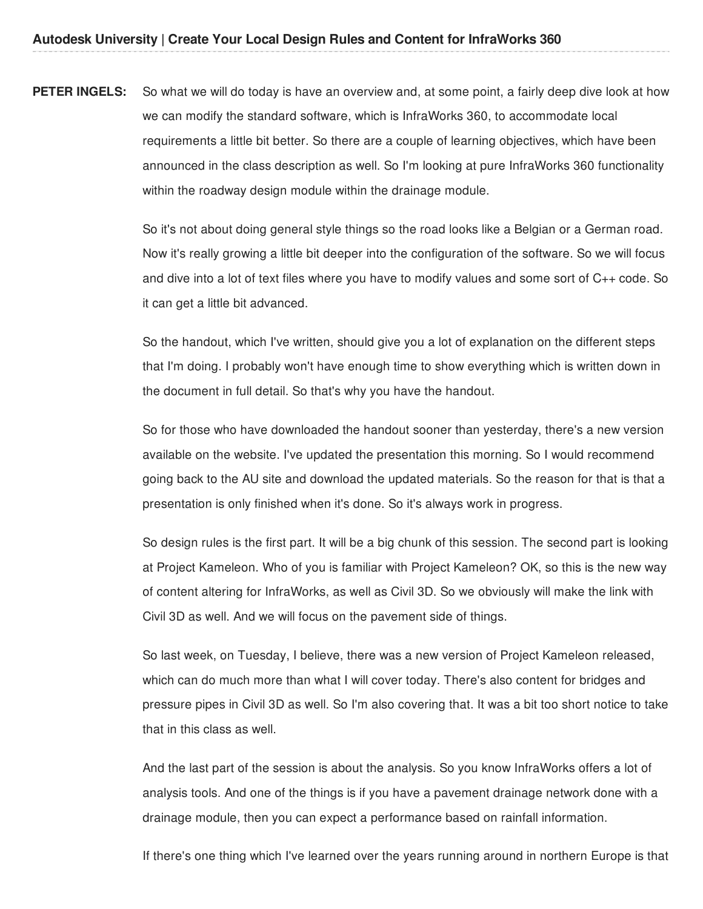**PETER INGELS:** So what we will do today is have an overview and, at some point, a fairly deep dive look at how we can modify the standard software, which is InfraWorks 360, to accommodate local requirements a little bit better. So there are a couple of learning objectives, which have been announced in the class description as well. So I'm looking at pure InfraWorks 360 functionality within the roadway design module within the drainage module.

> So it's not about doing general style things so the road looks like a Belgian or a German road. Now it's really growing a little bit deeper into the configuration of the software. So we will focus and dive into a lot of text files where you have to modify values and some sort of C++ code. So it can get a little bit advanced.

So the handout, which I've written, should give you a lot of explanation on the different steps that I'm doing. I probably won't have enough time to show everything which is written down in the document in full detail. So that's why you have the handout.

So for those who have downloaded the handout sooner than yesterday, there's a new version available on the website. I've updated the presentation this morning. So I would recommend going back to the AU site and download the updated materials. So the reason for that is that a presentation is only finished when it's done. So it's always work in progress.

So design rules is the first part. It will be a big chunk of this session. The second part is looking at Project Kameleon. Who of you is familiar with Project Kameleon? OK, so this is the new way of content altering for InfraWorks, as well as Civil 3D. So we obviously will make the link with Civil 3D as well. And we will focus on the pavement side of things.

So last week, on Tuesday, I believe, there was a new version of Project Kameleon released, which can do much more than what I will cover today. There's also content for bridges and pressure pipes in Civil 3D as well. So I'm also covering that. It was a bit too short notice to take that in this class as well.

And the last part of the session is about the analysis. So you know InfraWorks offers a lot of analysis tools. And one of the things is if you have a pavement drainage network done with a drainage module, then you can expect a performance based on rainfall information.

If there's one thing which I've learned over the years running around in northern Europe is that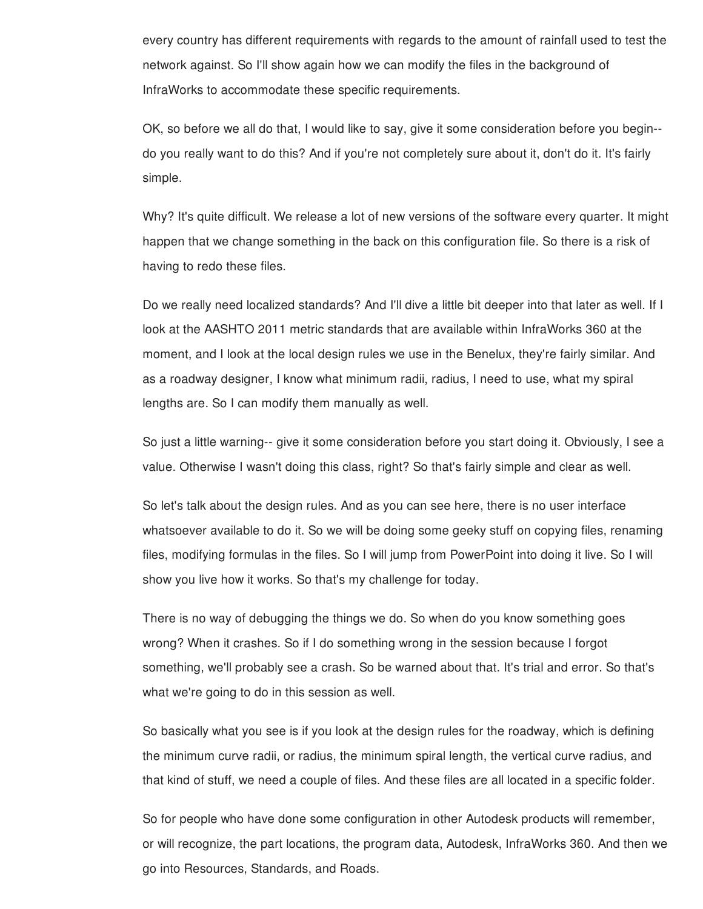every country has different requirements with regards to the amount of rainfall used to test the network against. So I'll show again how we can modify the files in the background of InfraWorks to accommodate these specific requirements.

OK, so before we all do that, I would like to say, give it some consideration before you begin- do you really want to do this? And if you're not completely sure about it, don't do it. It's fairly simple.

Why? It's quite difficult. We release a lot of new versions of the software every quarter. It might happen that we change something in the back on this configuration file. So there is a risk of having to redo these files.

Do we really need localized standards? And I'll dive a little bit deeper into that later as well. If I look at the AASHTO 2011 metric standards that are available within InfraWorks 360 at the moment, and I look at the local design rules we use in the Benelux, they're fairly similar. And as a roadway designer, I know what minimum radii, radius, I need to use, what my spiral lengths are. So I can modify them manually as well.

So just a little warning-- give it some consideration before you start doing it. Obviously, I see a value. Otherwise I wasn't doing this class, right? So that's fairly simple and clear as well.

So let's talk about the design rules. And as you can see here, there is no user interface whatsoever available to do it. So we will be doing some geeky stuff on copying files, renaming files, modifying formulas in the files. So I will jump from PowerPoint into doing it live. So I will show you live how it works. So that's my challenge for today.

There is no way of debugging the things we do. So when do you know something goes wrong? When it crashes. So if I do something wrong in the session because I forgot something, we'll probably see a crash. So be warned about that. It's trial and error. So that's what we're going to do in this session as well.

So basically what you see is if you look at the design rules for the roadway, which is defining the minimum curve radii, or radius, the minimum spiral length, the vertical curve radius, and that kind of stuff, we need a couple of files. And these files are all located in a specific folder.

So for people who have done some configuration in other Autodesk products will remember, or will recognize, the part locations, the program data, Autodesk, InfraWorks 360. And then we go into Resources, Standards, and Roads.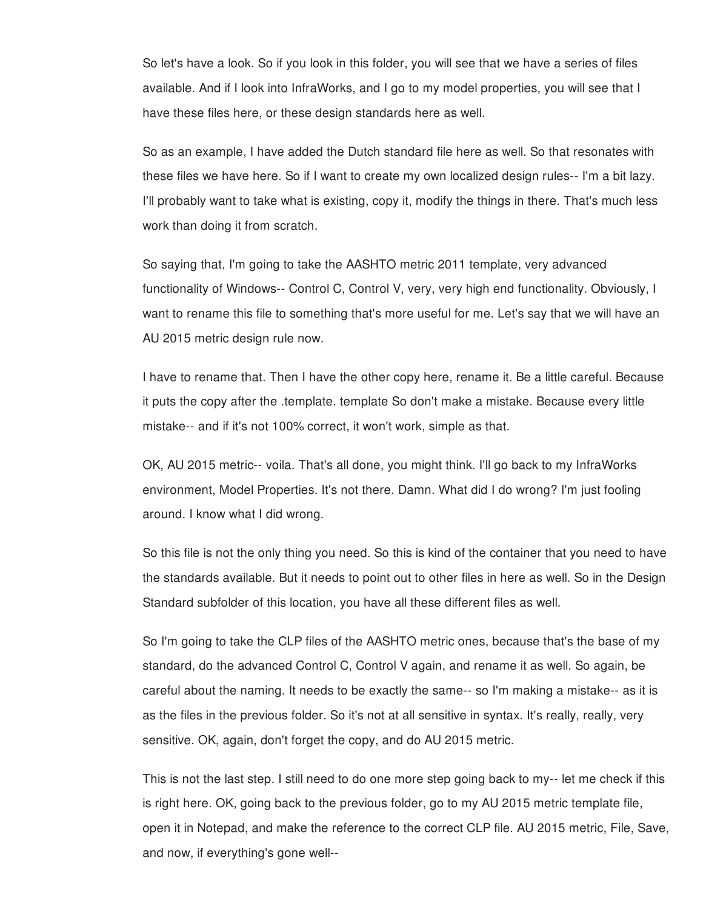So let's have a look. So if you look in this folder, you will see that we have a series of files available. And if I look into InfraWorks, and I go to my model properties, you will see that I have these files here, or these design standards here as well.

So as an example, I have added the Dutch standard file here as well. So that resonates with these files we have here. So if I want to create my own localized design rules-- I'm a bit lazy. I'll probably want to take what is existing, copy it, modify the things in there. That's much less work than doing it from scratch.

So saying that, I'm going to take the AASHTO metric 2011 template, very advanced functionality of Windows-- Control C, Control V, very, very high end functionality. Obviously, I want to rename this file to something that's more useful for me. Let's say that we will have an AU 2015 metric design rule now.

I have to rename that. Then I have the other copy here, rename it. Be a little careful. Because it puts the copy after the .template. template So don't make a mistake. Because every little mistake-- and if it's not 100% correct, it won't work, simple as that.

OK, AU 2015 metric-- voila. That's all done, you might think. I'll go back to my InfraWorks environment, Model Properties. It's not there. Damn. What did I do wrong? I'm just fooling around. I know what I did wrong.

So this file is not the only thing you need. So this is kind of the container that you need to have the standards available. But it needs to point out to other files in here as well. So in the Design Standard subfolder of this location, you have all these different files as well.

So I'm going to take the CLP files of the AASHTO metric ones, because that's the base of my standard, do the advanced Control C, Control V again, and rename it as well. So again, be careful about the naming. It needs to be exactly the same-- so I'm making a mistake-- as it is as the files in the previous folder. So it's not at all sensitive in syntax. It's really, really, very sensitive. OK, again, don't forget the copy, and do AU 2015 metric.

This is not the last step. I still need to do one more step going back to my-- let me check if this is right here. OK, going back to the previous folder, go to my AU 2015 metric template file, open it in Notepad, and make the reference to the correct CLP file. AU 2015 metric, File, Save, and now, if everything's gone well--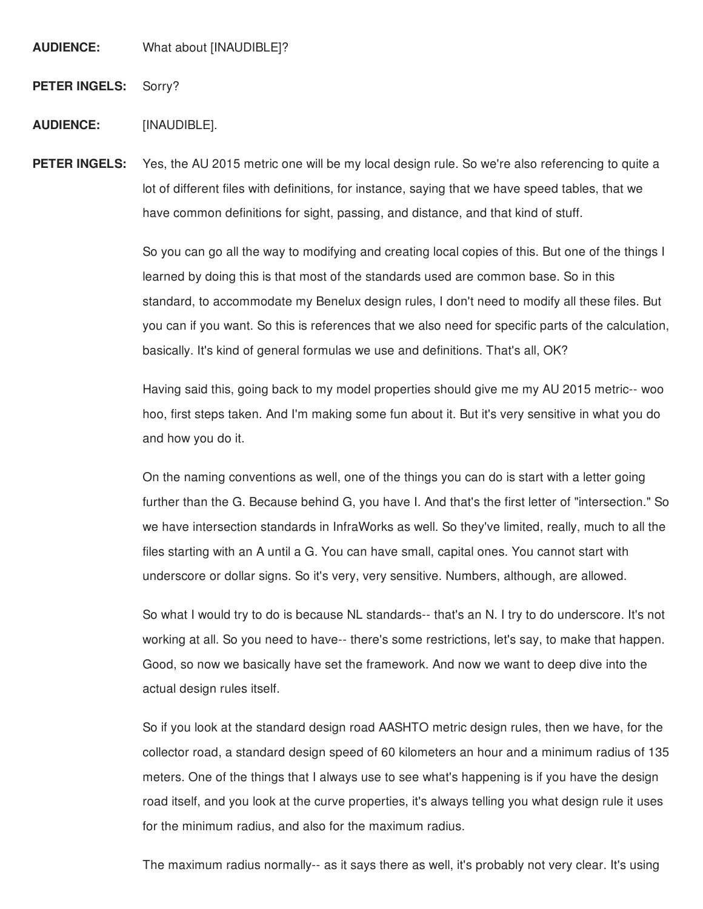**AUDIENCE:** What about [INAUDIBLE]?

**PETER INGELS:** Sorry?

#### **AUDIENCE:** [INAUDIBLE].

**PETER INGELS:** Yes, the AU 2015 metric one will be my local design rule. So we're also referencing to quite a lot of different files with definitions, for instance, saying that we have speed tables, that we have common definitions for sight, passing, and distance, and that kind of stuff.

> So you can go all the way to modifying and creating local copies of this. But one of the things I learned by doing this is that most of the standards used are common base. So in this standard, to accommodate my Benelux design rules, I don't need to modify all these files. But you can if you want. So this is references that we also need for specific parts of the calculation, basically. It's kind of general formulas we use and definitions. That's all, OK?

Having said this, going back to my model properties should give me my AU 2015 metric-- woo hoo, first steps taken. And I'm making some fun about it. But it's very sensitive in what you do and how you do it.

On the naming conventions as well, one of the things you can do is start with a letter going further than the G. Because behind G, you have I. And that's the first letter of "intersection." So we have intersection standards in InfraWorks as well. So they've limited, really, much to all the files starting with an A until a G. You can have small, capital ones. You cannot start with underscore or dollar signs. So it's very, very sensitive. Numbers, although, are allowed.

So what I would try to do is because NL standards-- that's an N. I try to do underscore. It's not working at all. So you need to have-- there's some restrictions, let's say, to make that happen. Good, so now we basically have set the framework. And now we want to deep dive into the actual design rules itself.

So if you look at the standard design road AASHTO metric design rules, then we have, for the collector road, a standard design speed of 60 kilometers an hour and a minimum radius of 135 meters. One of the things that I always use to see what's happening is if you have the design road itself, and you look at the curve properties, it's always telling you what design rule it uses for the minimum radius, and also for the maximum radius.

The maximum radius normally-- as it says there as well, it's probably not very clear. It's using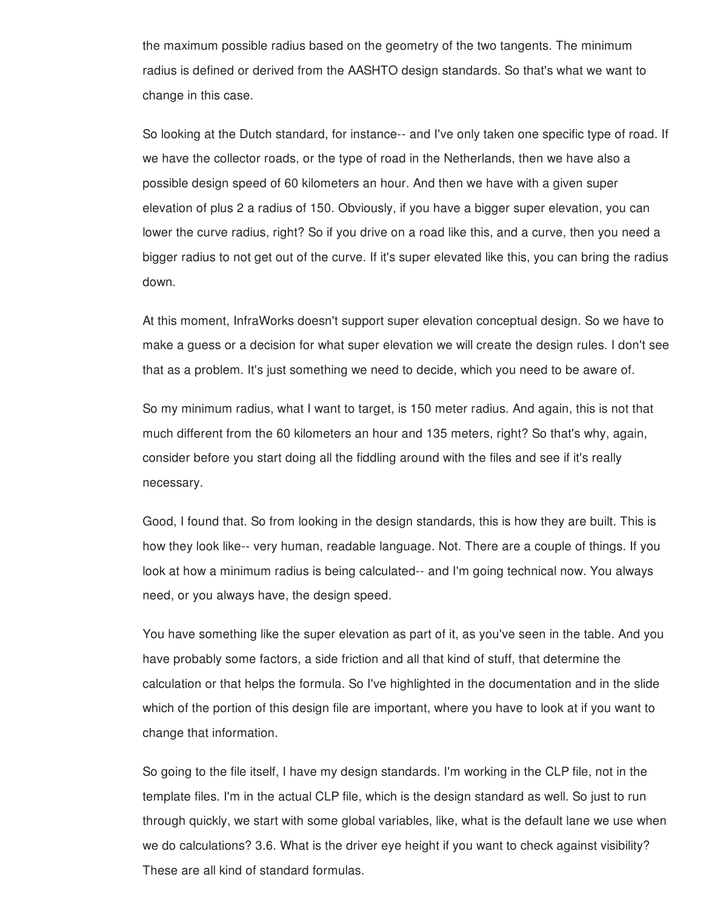the maximum possible radius based on the geometry of the two tangents. The minimum radius is defined or derived from the AASHTO design standards. So that's what we want to change in this case.

So looking at the Dutch standard, for instance-- and I've only taken one specific type of road. If we have the collector roads, or the type of road in the Netherlands, then we have also a possible design speed of 60 kilometers an hour. And then we have with a given super elevation of plus 2 a radius of 150. Obviously, if you have a bigger super elevation, you can lower the curve radius, right? So if you drive on a road like this, and a curve, then you need a bigger radius to not get out of the curve. If it's super elevated like this, you can bring the radius down.

At this moment, InfraWorks doesn't support super elevation conceptual design. So we have to make a guess or a decision for what super elevation we will create the design rules. I don't see that as a problem. It's just something we need to decide, which you need to be aware of.

So my minimum radius, what I want to target, is 150 meter radius. And again, this is not that much different from the 60 kilometers an hour and 135 meters, right? So that's why, again, consider before you start doing all the fiddling around with the files and see if it's really necessary.

Good, I found that. So from looking in the design standards, this is how they are built. This is how they look like-- very human, readable language. Not. There are a couple of things. If you look at how a minimum radius is being calculated-- and I'm going technical now. You always need, or you always have, the design speed.

You have something like the super elevation as part of it, as you've seen in the table. And you have probably some factors, a side friction and all that kind of stuff, that determine the calculation or that helps the formula. So I've highlighted in the documentation and in the slide which of the portion of this design file are important, where you have to look at if you want to change that information.

So going to the file itself, I have my design standards. I'm working in the CLP file, not in the template files. I'm in the actual CLP file, which is the design standard as well. So just to run through quickly, we start with some global variables, like, what is the default lane we use when we do calculations? 3.6. What is the driver eye height if you want to check against visibility? These are all kind of standard formulas.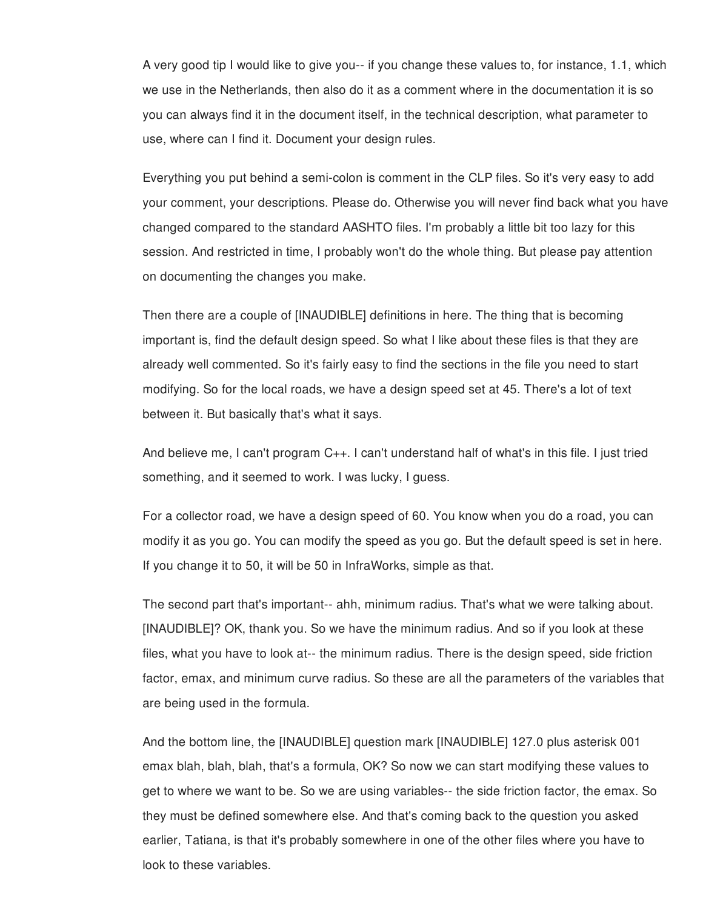A very good tip I would like to give you-- if you change these values to, for instance, 1.1, which we use in the Netherlands, then also do it as a comment where in the documentation it is so you can always find it in the document itself, in the technical description, what parameter to use, where can I find it. Document your design rules.

Everything you put behind a semi-colon is comment in the CLP files. So it's very easy to add your comment, your descriptions. Please do. Otherwise you will never find back what you have changed compared to the standard AASHTO files. I'm probably a little bit too lazy for this session. And restricted in time, I probably won't do the whole thing. But please pay attention on documenting the changes you make.

Then there are a couple of [INAUDIBLE] definitions in here. The thing that is becoming important is, find the default design speed. So what I like about these files is that they are already well commented. So it's fairly easy to find the sections in the file you need to start modifying. So for the local roads, we have a design speed set at 45. There's a lot of text between it. But basically that's what it says.

And believe me, I can't program C++. I can't understand half of what's in this file. I just tried something, and it seemed to work. I was lucky, I guess.

For a collector road, we have a design speed of 60. You know when you do a road, you can modify it as you go. You can modify the speed as you go. But the default speed is set in here. If you change it to 50, it will be 50 in InfraWorks, simple as that.

The second part that's important-- ahh, minimum radius. That's what we were talking about. [INAUDIBLE]? OK, thank you. So we have the minimum radius. And so if you look at these files, what you have to look at-- the minimum radius. There is the design speed, side friction factor, emax, and minimum curve radius. So these are all the parameters of the variables that are being used in the formula.

And the bottom line, the [INAUDIBLE] question mark [INAUDIBLE] 127.0 plus asterisk 001 emax blah, blah, blah, that's a formula, OK? So now we can start modifying these values to get to where we want to be. So we are using variables-- the side friction factor, the emax. So they must be defined somewhere else. And that's coming back to the question you asked earlier, Tatiana, is that it's probably somewhere in one of the other files where you have to look to these variables.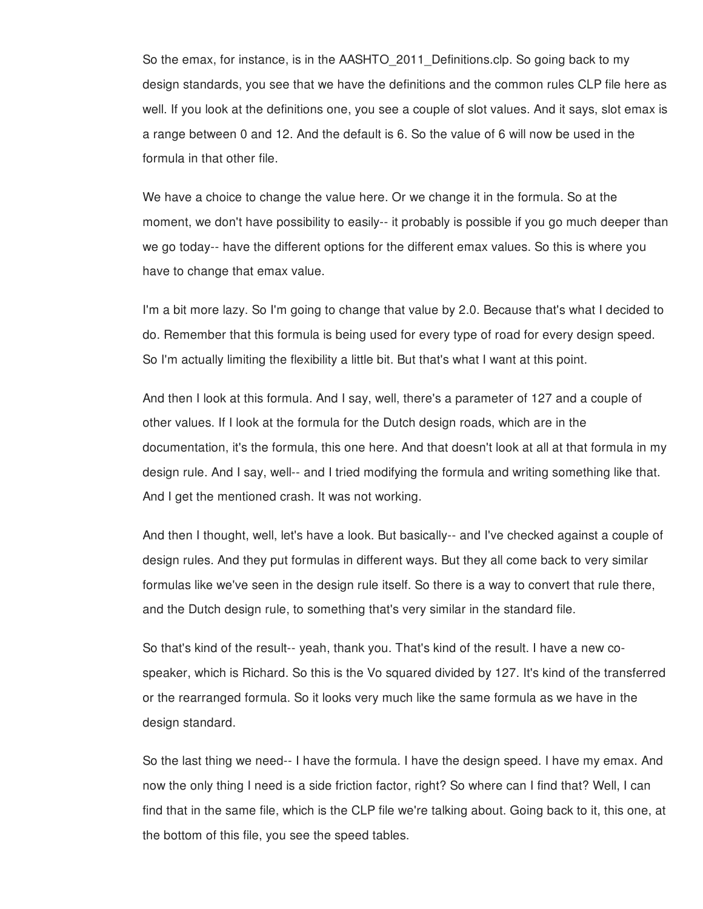So the emax, for instance, is in the AASHTO 2011 Definitions.clp. So going back to my design standards, you see that we have the definitions and the common rules CLP file here as well. If you look at the definitions one, you see a couple of slot values. And it says, slot emax is a range between 0 and 12. And the default is 6. So the value of 6 will now be used in the formula in that other file.

We have a choice to change the value here. Or we change it in the formula. So at the moment, we don't have possibility to easily-- it probably is possible if you go much deeper than we go today-- have the different options for the different emax values. So this is where you have to change that emax value.

I'm a bit more lazy. So I'm going to change that value by 2.0. Because that's what I decided to do. Remember that this formula is being used for every type of road for every design speed. So I'm actually limiting the flexibility a little bit. But that's what I want at this point.

And then I look at this formula. And I say, well, there's a parameter of 127 and a couple of other values. If I look at the formula for the Dutch design roads, which are in the documentation, it's the formula, this one here. And that doesn't look at all at that formula in my design rule. And I say, well-- and I tried modifying the formula and writing something like that. And I get the mentioned crash. It was not working.

And then I thought, well, let's have a look. But basically-- and I've checked against a couple of design rules. And they put formulas in different ways. But they all come back to very similar formulas like we've seen in the design rule itself. So there is a way to convert that rule there, and the Dutch design rule, to something that's very similar in the standard file.

So that's kind of the result-- yeah, thank you. That's kind of the result. I have a new cospeaker, which is Richard. So this is the Vo squared divided by 127. It's kind of the transferred or the rearranged formula. So it looks very much like the same formula as we have in the design standard.

So the last thing we need-- I have the formula. I have the design speed. I have my emax. And now the only thing I need is a side friction factor, right? So where can I find that? Well, I can find that in the same file, which is the CLP file we're talking about. Going back to it, this one, at the bottom of this file, you see the speed tables.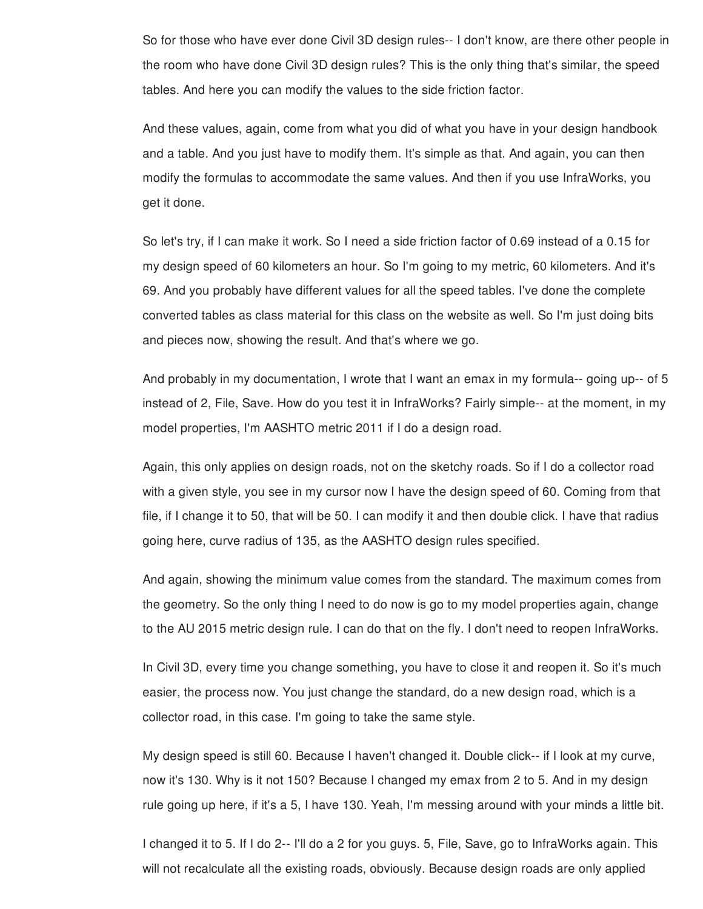So for those who have ever done Civil 3D design rules-- I don't know, are there other people in the room who have done Civil 3D design rules? This is the only thing that's similar, the speed tables. And here you can modify the values to the side friction factor.

And these values, again, come from what you did of what you have in your design handbook and a table. And you just have to modify them. It's simple as that. And again, you can then modify the formulas to accommodate the same values. And then if you use InfraWorks, you get it done.

So let's try, if I can make it work. So I need a side friction factor of 0.69 instead of a 0.15 for my design speed of 60 kilometers an hour. So I'm going to my metric, 60 kilometers. And it's 69. And you probably have different values for all the speed tables. I've done the complete converted tables as class material for this class on the website as well. So I'm just doing bits and pieces now, showing the result. And that's where we go.

And probably in my documentation, I wrote that I want an emax in my formula-- going up-- of 5 instead of 2, File, Save. How do you test it in InfraWorks? Fairly simple-- at the moment, in my model properties, I'm AASHTO metric 2011 if I do a design road.

Again, this only applies on design roads, not on the sketchy roads. So if I do a collector road with a given style, you see in my cursor now I have the design speed of 60. Coming from that file, if I change it to 50, that will be 50. I can modify it and then double click. I have that radius going here, curve radius of 135, as the AASHTO design rules specified.

And again, showing the minimum value comes from the standard. The maximum comes from the geometry. So the only thing I need to do now is go to my model properties again, change to the AU 2015 metric design rule. I can do that on the fly. I don't need to reopen InfraWorks.

In Civil 3D, every time you change something, you have to close it and reopen it. So it's much easier, the process now. You just change the standard, do a new design road, which is a collector road, in this case. I'm going to take the same style.

My design speed is still 60. Because I haven't changed it. Double click-- if I look at my curve, now it's 130. Why is it not 150? Because I changed my emax from 2 to 5. And in my design rule going up here, if it's a 5, I have 130. Yeah, I'm messing around with your minds a little bit.

I changed it to 5. If I do 2-- I'll do a 2 for you guys. 5, File, Save, go to InfraWorks again. This will not recalculate all the existing roads, obviously. Because design roads are only applied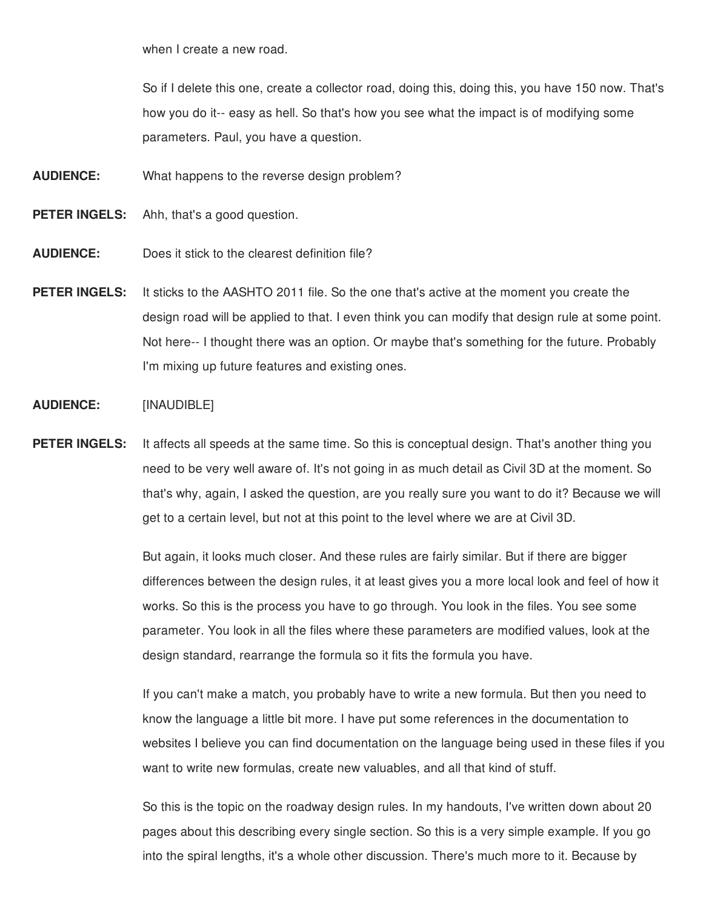when I create a new road.

So if I delete this one, create a collector road, doing this, doing this, you have 150 now. That's how you do it-- easy as hell. So that's how you see what the impact is of modifying some parameters. Paul, you have a question.

- **AUDIENCE:** What happens to the reverse design problem?
- **PETER INGELS:** Ahh, that's a good question.
- **AUDIENCE:** Does it stick to the clearest definition file?
- **PETER INGELS:** It sticks to the AASHTO 2011 file. So the one that's active at the moment you create the design road will be applied to that. I even think you can modify that design rule at some point. Not here-- I thought there was an option. Or maybe that's something for the future. Probably I'm mixing up future features and existing ones.

### **AUDIENCE:** [INAUDIBLE]

**PETER INGELS:** It affects all speeds at the same time. So this is conceptual design. That's another thing you need to be very well aware of. It's not going in as much detail as Civil 3D at the moment. So that's why, again, I asked the question, are you really sure you want to do it? Because we will get to a certain level, but not at this point to the level where we are at Civil 3D.

> But again, it looks much closer. And these rules are fairly similar. But if there are bigger differences between the design rules, it at least gives you a more local look and feel of how it works. So this is the process you have to go through. You look in the files. You see some parameter. You look in all the files where these parameters are modified values, look at the design standard, rearrange the formula so it fits the formula you have.

> If you can't make a match, you probably have to write a new formula. But then you need to know the language a little bit more. I have put some references in the documentation to websites I believe you can find documentation on the language being used in these files if you want to write new formulas, create new valuables, and all that kind of stuff.

So this is the topic on the roadway design rules. In my handouts, I've written down about 20 pages about this describing every single section. So this is a very simple example. If you go into the spiral lengths, it's a whole other discussion. There's much more to it. Because by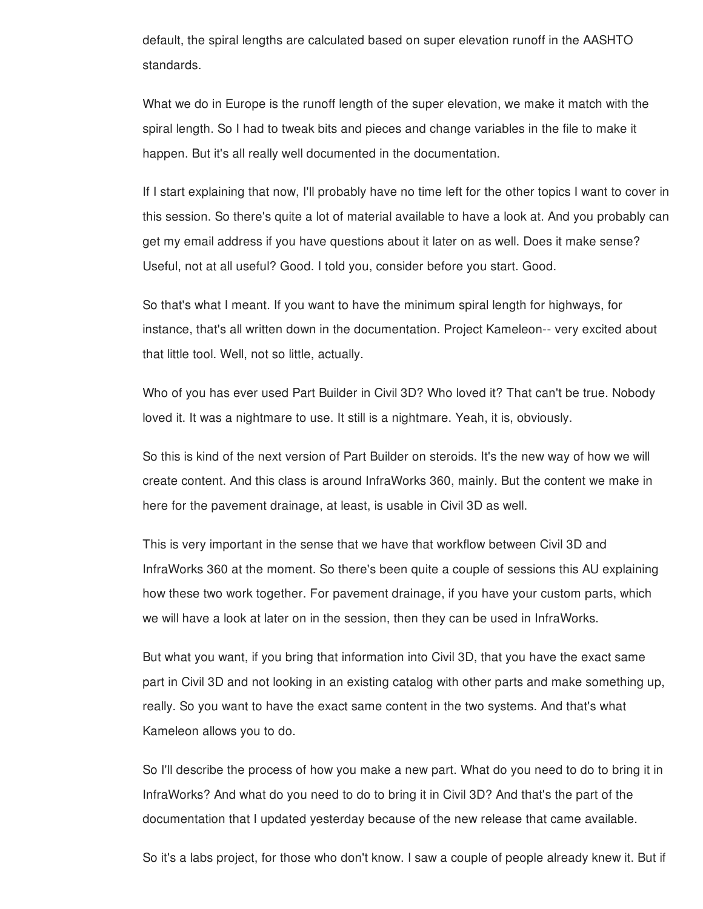default, the spiral lengths are calculated based on super elevation runoff in the AASHTO standards.

What we do in Europe is the runoff length of the super elevation, we make it match with the spiral length. So I had to tweak bits and pieces and change variables in the file to make it happen. But it's all really well documented in the documentation.

If I start explaining that now, I'll probably have no time left for the other topics I want to cover in this session. So there's quite a lot of material available to have a look at. And you probably can get my email address if you have questions about it later on as well. Does it make sense? Useful, not at all useful? Good. I told you, consider before you start. Good.

So that's what I meant. If you want to have the minimum spiral length for highways, for instance, that's all written down in the documentation. Project Kameleon-- very excited about that little tool. Well, not so little, actually.

Who of you has ever used Part Builder in Civil 3D? Who loved it? That can't be true. Nobody loved it. It was a nightmare to use. It still is a nightmare. Yeah, it is, obviously.

So this is kind of the next version of Part Builder on steroids. It's the new way of how we will create content. And this class is around InfraWorks 360, mainly. But the content we make in here for the pavement drainage, at least, is usable in Civil 3D as well.

This is very important in the sense that we have that workflow between Civil 3D and InfraWorks 360 at the moment. So there's been quite a couple of sessions this AU explaining how these two work together. For pavement drainage, if you have your custom parts, which we will have a look at later on in the session, then they can be used in InfraWorks.

But what you want, if you bring that information into Civil 3D, that you have the exact same part in Civil 3D and not looking in an existing catalog with other parts and make something up, really. So you want to have the exact same content in the two systems. And that's what Kameleon allows you to do.

So I'll describe the process of how you make a new part. What do you need to do to bring it in InfraWorks? And what do you need to do to bring it in Civil 3D? And that's the part of the documentation that I updated yesterday because of the new release that came available.

So it's a labs project, for those who don't know. I saw a couple of people already knew it. But if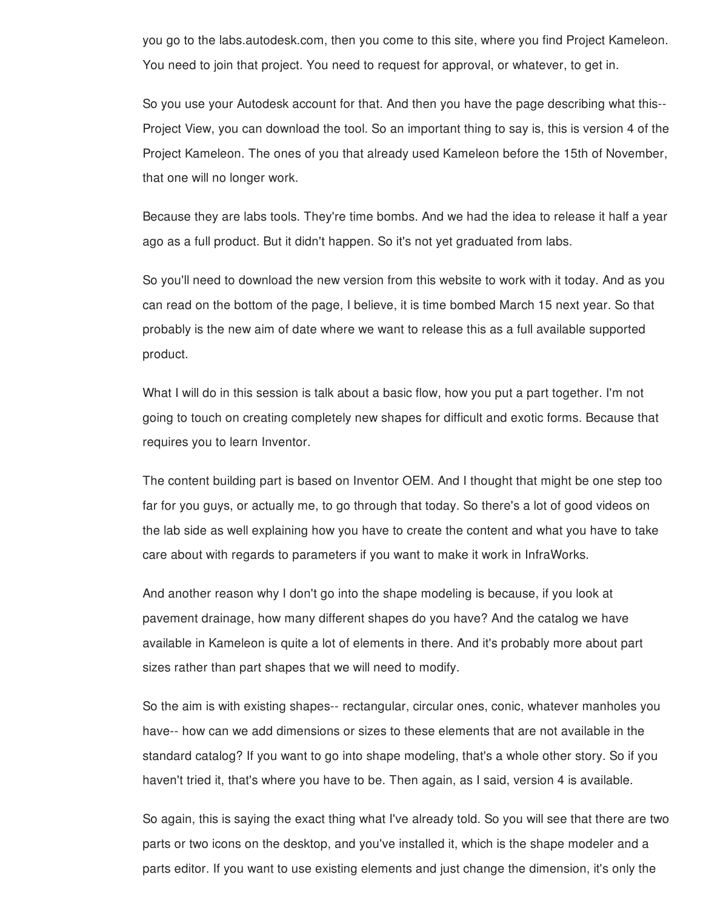you go to the labs.autodesk.com, then you come to this site, where you find Project Kameleon. You need to join that project. You need to request for approval, or whatever, to get in.

So you use your Autodesk account for that. And then you have the page describing what this-- Project View, you can download the tool. So an important thing to say is, this is version 4 of the Project Kameleon. The ones of you that already used Kameleon before the 15th of November, that one will no longer work.

Because they are labs tools. They're time bombs. And we had the idea to release it half a year ago as a full product. But it didn't happen. So it's not yet graduated from labs.

So you'll need to download the new version from this website to work with it today. And as you can read on the bottom of the page, I believe, it is time bombed March 15 next year. So that probably is the new aim of date where we want to release this as a full available supported product.

What I will do in this session is talk about a basic flow, how you put a part together. I'm not going to touch on creating completely new shapes for difficult and exotic forms. Because that requires you to learn Inventor.

The content building part is based on Inventor OEM. And I thought that might be one step too far for you guys, or actually me, to go through that today. So there's a lot of good videos on the lab side as well explaining how you have to create the content and what you have to take care about with regards to parameters if you want to make it work in InfraWorks.

And another reason why I don't go into the shape modeling is because, if you look at pavement drainage, how many different shapes do you have? And the catalog we have available in Kameleon is quite a lot of elements in there. And it's probably more about part sizes rather than part shapes that we will need to modify.

So the aim is with existing shapes-- rectangular, circular ones, conic, whatever manholes you have-- how can we add dimensions or sizes to these elements that are not available in the standard catalog? If you want to go into shape modeling, that's a whole other story. So if you haven't tried it, that's where you have to be. Then again, as I said, version 4 is available.

So again, this is saying the exact thing what I've already told. So you will see that there are two parts or two icons on the desktop, and you've installed it, which is the shape modeler and a parts editor. If you want to use existing elements and just change the dimension, it's only the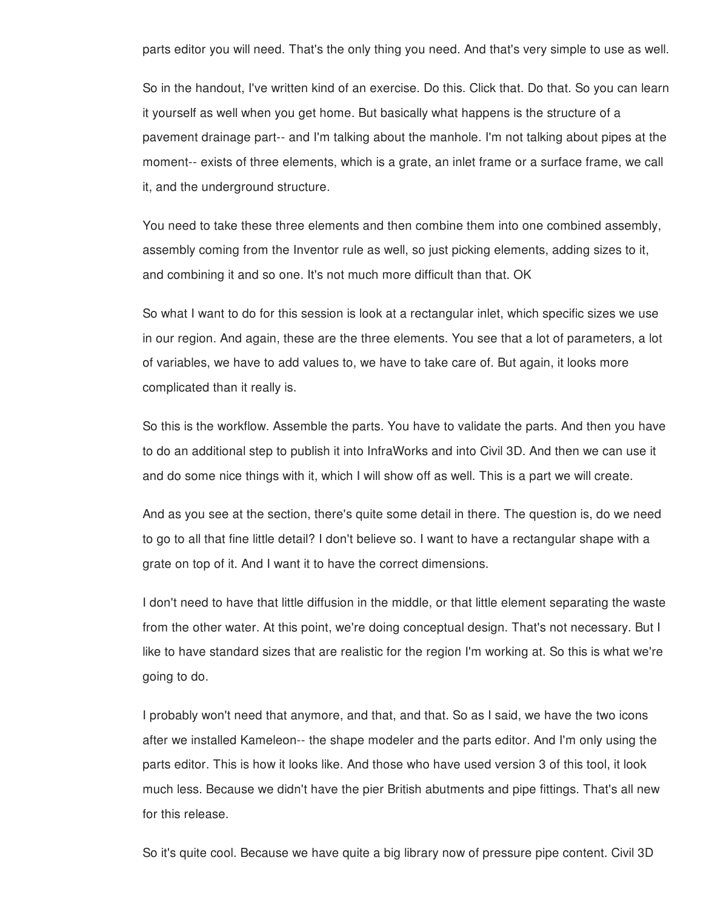parts editor you will need. That's the only thing you need. And that's very simple to use as well.

So in the handout, I've written kind of an exercise. Do this. Click that. Do that. So you can learn it yourself as well when you get home. But basically what happens is the structure of a pavement drainage part-- and I'm talking about the manhole. I'm not talking about pipes at the moment-- exists of three elements, which is a grate, an inlet frame or a surface frame, we call it, and the underground structure.

You need to take these three elements and then combine them into one combined assembly, assembly coming from the Inventor rule as well, so just picking elements, adding sizes to it, and combining it and so one. It's not much more difficult than that. OK

So what I want to do for this session is look at a rectangular inlet, which specific sizes we use in our region. And again, these are the three elements. You see that a lot of parameters, a lot of variables, we have to add values to, we have to take care of. But again, it looks more complicated than it really is.

So this is the workflow. Assemble the parts. You have to validate the parts. And then you have to do an additional step to publish it into InfraWorks and into Civil 3D. And then we can use it and do some nice things with it, which I will show off as well. This is a part we will create.

And as you see at the section, there's quite some detail in there. The question is, do we need to go to all that fine little detail? I don't believe so. I want to have a rectangular shape with a grate on top of it. And I want it to have the correct dimensions.

I don't need to have that little diffusion in the middle, or that little element separating the waste from the other water. At this point, we're doing conceptual design. That's not necessary. But I like to have standard sizes that are realistic for the region I'm working at. So this is what we're going to do.

I probably won't need that anymore, and that, and that. So as I said, we have the two icons after we installed Kameleon-- the shape modeler and the parts editor. And I'm only using the parts editor. This is how it looks like. And those who have used version 3 of this tool, it look much less. Because we didn't have the pier British abutments and pipe fittings. That's all new for this release.

So it's quite cool. Because we have quite a big library now of pressure pipe content. Civil 3D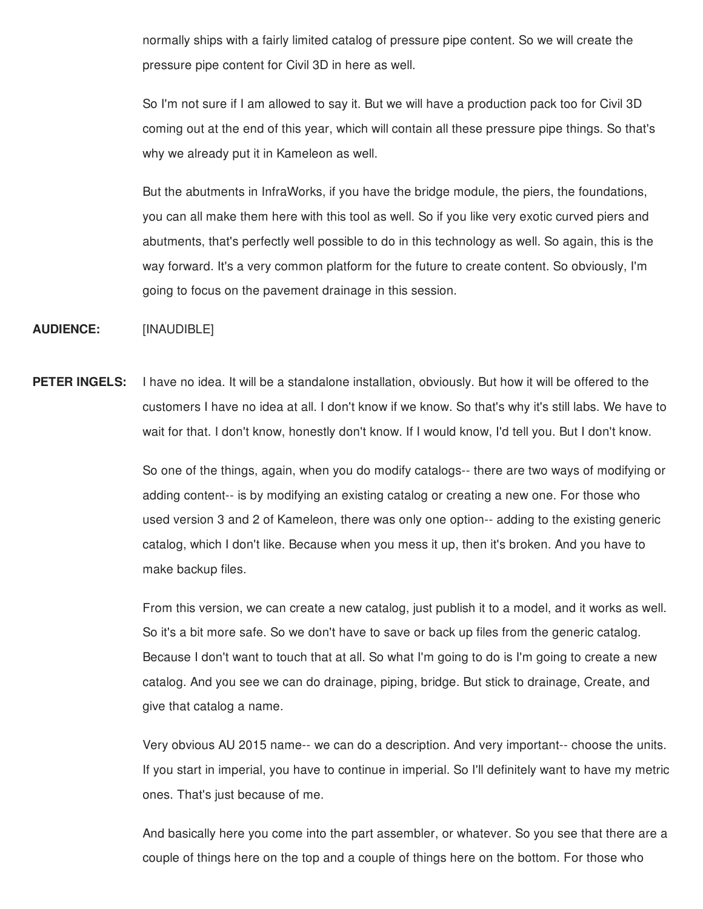normally ships with a fairly limited catalog of pressure pipe content. So we will create the pressure pipe content for Civil 3D in here as well.

So I'm not sure if I am allowed to say it. But we will have a production pack too for Civil 3D coming out at the end of this year, which will contain all these pressure pipe things. So that's why we already put it in Kameleon as well.

But the abutments in InfraWorks, if you have the bridge module, the piers, the foundations, you can all make them here with this tool as well. So if you like very exotic curved piers and abutments, that's perfectly well possible to do in this technology as well. So again, this is the way forward. It's a very common platform for the future to create content. So obviously, I'm going to focus on the pavement drainage in this session.

**AUDIENCE:** [INAUDIBLE]

**PETER INGELS:** I have no idea. It will be a standalone installation, obviously. But how it will be offered to the customers I have no idea at all. I don't know if we know. So that's why it's still labs. We have to wait for that. I don't know, honestly don't know. If I would know, I'd tell you. But I don't know.

> So one of the things, again, when you do modify catalogs-- there are two ways of modifying or adding content-- is by modifying an existing catalog or creating a new one. For those who used version 3 and 2 of Kameleon, there was only one option-- adding to the existing generic catalog, which I don't like. Because when you mess it up, then it's broken. And you have to make backup files.

> From this version, we can create a new catalog, just publish it to a model, and it works as well. So it's a bit more safe. So we don't have to save or back up files from the generic catalog. Because I don't want to touch that at all. So what I'm going to do is I'm going to create a new catalog. And you see we can do drainage, piping, bridge. But stick to drainage, Create, and give that catalog a name.

> Very obvious AU 2015 name-- we can do a description. And very important-- choose the units. If you start in imperial, you have to continue in imperial. So I'll definitely want to have my metric ones. That's just because of me.

> And basically here you come into the part assembler, or whatever. So you see that there are a couple of things here on the top and a couple of things here on the bottom. For those who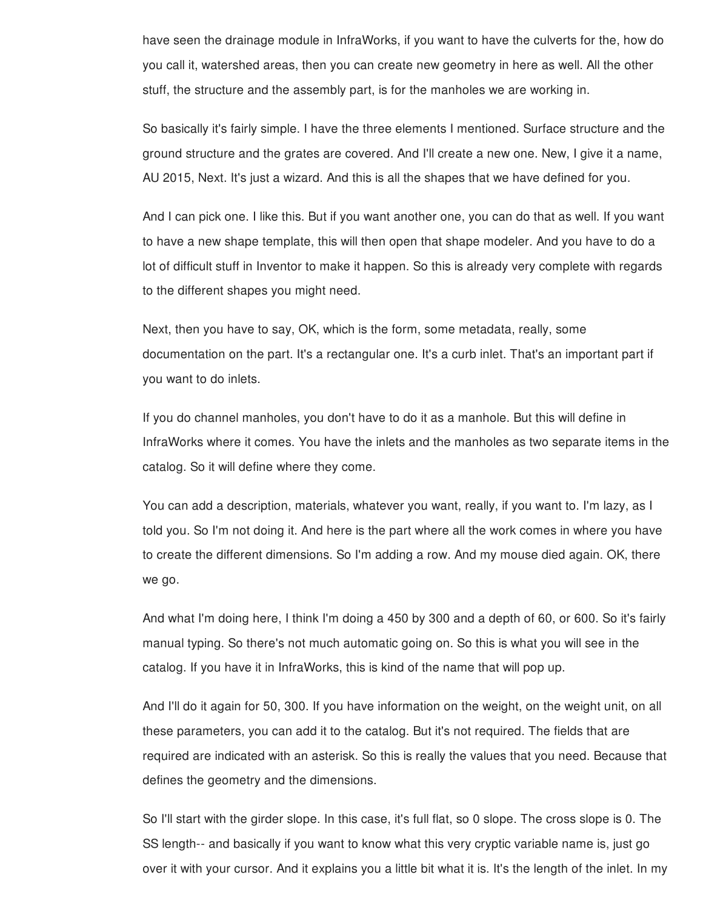have seen the drainage module in InfraWorks, if you want to have the culverts for the, how do you call it, watershed areas, then you can create new geometry in here as well. All the other stuff, the structure and the assembly part, is for the manholes we are working in.

So basically it's fairly simple. I have the three elements I mentioned. Surface structure and the ground structure and the grates are covered. And I'll create a new one. New, I give it a name, AU 2015, Next. It's just a wizard. And this is all the shapes that we have defined for you.

And I can pick one. I like this. But if you want another one, you can do that as well. If you want to have a new shape template, this will then open that shape modeler. And you have to do a lot of difficult stuff in Inventor to make it happen. So this is already very complete with regards to the different shapes you might need.

Next, then you have to say, OK, which is the form, some metadata, really, some documentation on the part. It's a rectangular one. It's a curb inlet. That's an important part if you want to do inlets.

If you do channel manholes, you don't have to do it as a manhole. But this will define in InfraWorks where it comes. You have the inlets and the manholes as two separate items in the catalog. So it will define where they come.

You can add a description, materials, whatever you want, really, if you want to. I'm lazy, as I told you. So I'm not doing it. And here is the part where all the work comes in where you have to create the different dimensions. So I'm adding a row. And my mouse died again. OK, there we go.

And what I'm doing here, I think I'm doing a 450 by 300 and a depth of 60, or 600. So it's fairly manual typing. So there's not much automatic going on. So this is what you will see in the catalog. If you have it in InfraWorks, this is kind of the name that will pop up.

And I'll do it again for 50, 300. If you have information on the weight, on the weight unit, on all these parameters, you can add it to the catalog. But it's not required. The fields that are required are indicated with an asterisk. So this is really the values that you need. Because that defines the geometry and the dimensions.

So I'll start with the girder slope. In this case, it's full flat, so 0 slope. The cross slope is 0. The SS length-- and basically if you want to know what this very cryptic variable name is, just go over it with your cursor. And it explains you a little bit what it is. It's the length of the inlet. In my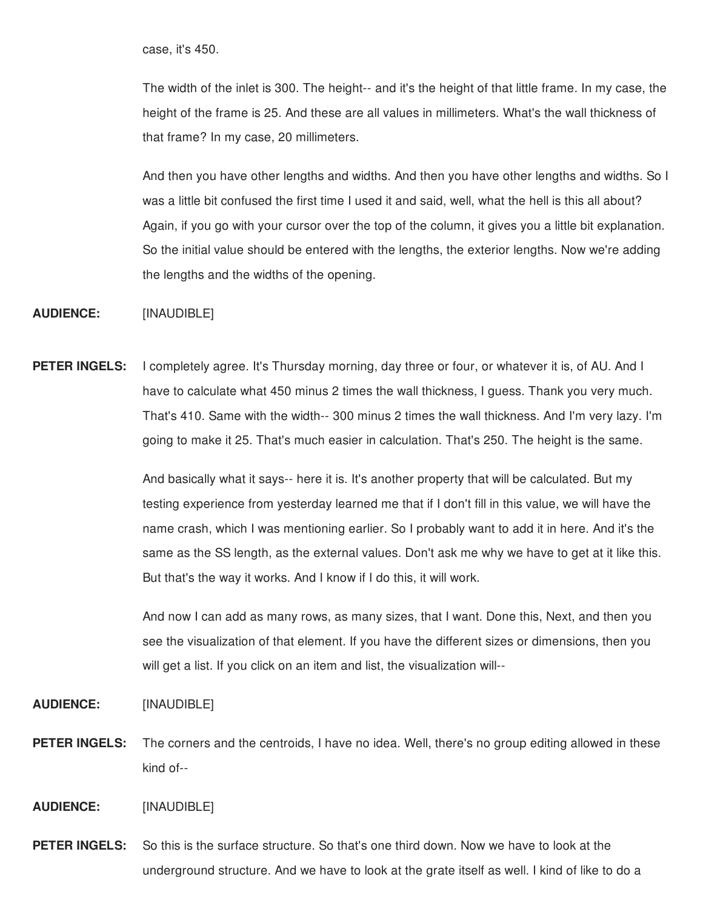case, it's 450.

The width of the inlet is 300. The height-- and it's the height of that little frame. In my case, the height of the frame is 25. And these are all values in millimeters. What's the wall thickness of that frame? In my case, 20 millimeters.

And then you have other lengths and widths. And then you have other lengths and widths. So I was a little bit confused the first time I used it and said, well, what the hell is this all about? Again, if you go with your cursor over the top of the column, it gives you a little bit explanation. So the initial value should be entered with the lengths, the exterior lengths. Now we're adding the lengths and the widths of the opening.

**AUDIENCE:** [INAUDIBLE]

**PETER INGELS:** I completely agree. It's Thursday morning, day three or four, or whatever it is, of AU. And I have to calculate what 450 minus 2 times the wall thickness, I guess. Thank you very much. That's 410. Same with the width-- 300 minus 2 times the wall thickness. And I'm very lazy. I'm going to make it 25. That's much easier in calculation. That's 250. The height is the same.

> And basically what it says-- here it is. It's another property that will be calculated. But my testing experience from yesterday learned me that if I don't fill in this value, we will have the name crash, which I was mentioning earlier. So I probably want to add it in here. And it's the same as the SS length, as the external values. Don't ask me why we have to get at it like this. But that's the way it works. And I know if I do this, it will work.

And now I can add as many rows, as many sizes, that I want. Done this, Next, and then you see the visualization of that element. If you have the different sizes or dimensions, then you will get a list. If you click on an item and list, the visualization will--

**AUDIENCE:** [INAUDIBLE]

**PETER INGELS:** The corners and the centroids, I have no idea. Well, there's no group editing allowed in these kind of--

**AUDIENCE:** [INAUDIBLE]

**PETER INGELS:** So this is the surface structure. So that's one third down. Now we have to look at the underground structure. And we have to look at the grate itself as well. I kind of like to do a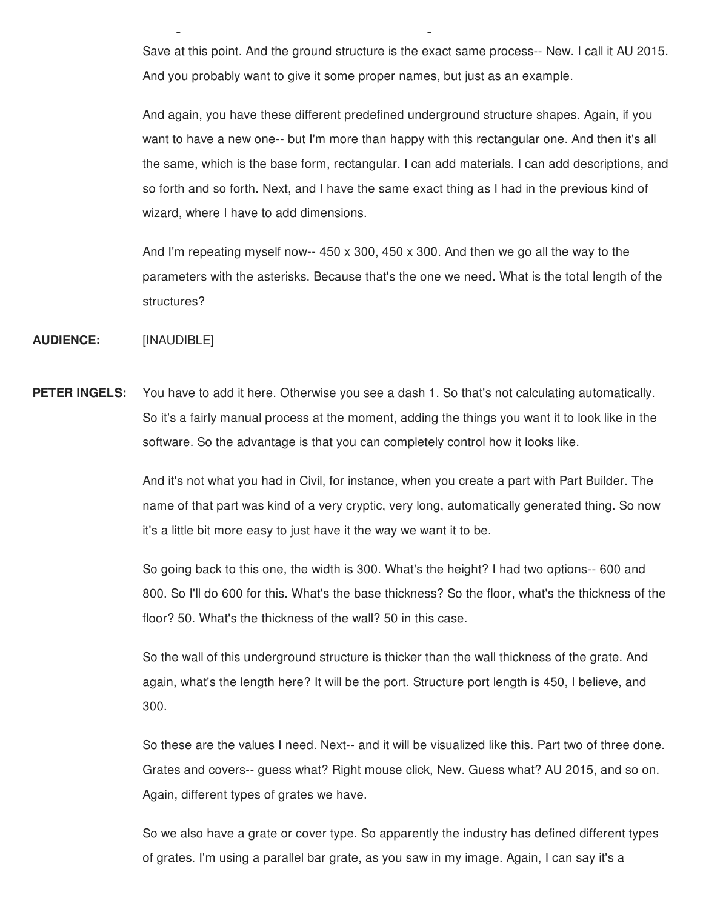Save at this point. And the ground structure is the exact same process-- New. I call it AU 2015. And you probably want to give it some proper names, but just as an example.

 $u$ underground structure. And we have to look at the grate itself as well. I kind of like to do at the grate itself as well. I kind of like to do at the grate itself as well. I kind of like to do at the grate itself as we

And again, you have these different predefined underground structure shapes. Again, if you want to have a new one-- but I'm more than happy with this rectangular one. And then it's all the same, which is the base form, rectangular. I can add materials. I can add descriptions, and so forth and so forth. Next, and I have the same exact thing as I had in the previous kind of wizard, where I have to add dimensions.

And I'm repeating myself now--  $450 \times 300$ ,  $450 \times 300$ . And then we go all the way to the parameters with the asterisks. Because that's the one we need. What is the total length of the structures?

**AUDIENCE:** [INAUDIBLE]

**PETER INGELS:** You have to add it here. Otherwise you see a dash 1. So that's not calculating automatically. So it's a fairly manual process at the moment, adding the things you want it to look like in the software. So the advantage is that you can completely control how it looks like.

> And it's not what you had in Civil, for instance, when you create a part with Part Builder. The name of that part was kind of a very cryptic, very long, automatically generated thing. So now it's a little bit more easy to just have it the way we want it to be.

> So going back to this one, the width is 300. What's the height? I had two options-- 600 and 800. So I'll do 600 for this. What's the base thickness? So the floor, what's the thickness of the floor? 50. What's the thickness of the wall? 50 in this case.

So the wall of this underground structure is thicker than the wall thickness of the grate. And again, what's the length here? It will be the port. Structure port length is 450, I believe, and 300.

So these are the values I need. Next-- and it will be visualized like this. Part two of three done. Grates and covers-- guess what? Right mouse click, New. Guess what? AU 2015, and so on. Again, different types of grates we have.

So we also have a grate or cover type. So apparently the industry has defined different types of grates. I'm using a parallel bar grate, as you saw in my image. Again, I can say it's a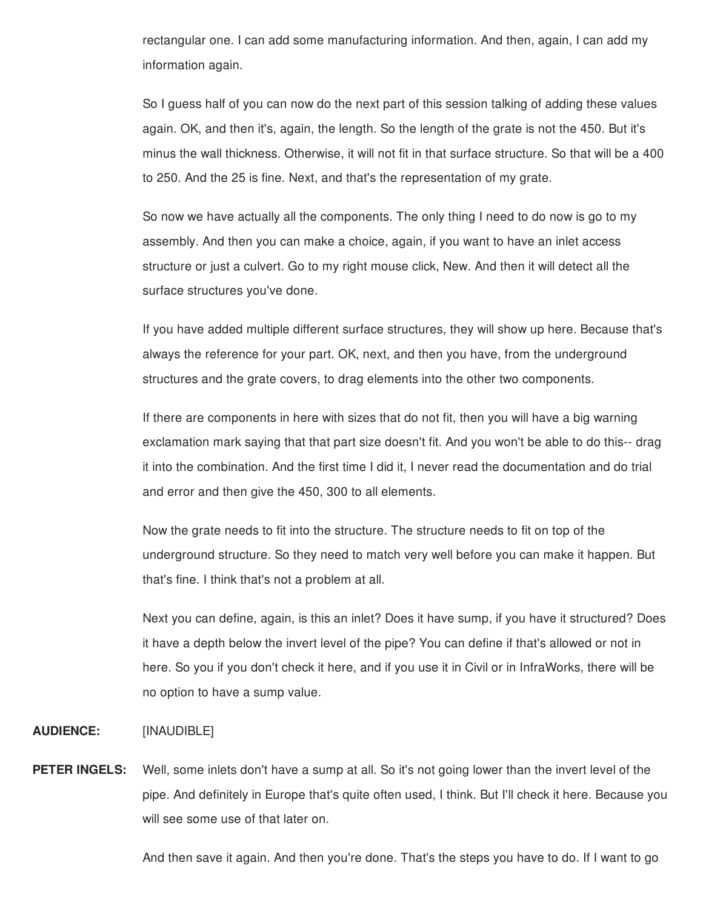rectangular one. I can add some manufacturing information. And then, again, I can add my information again.

So I guess half of you can now do the next part of this session talking of adding these values again. OK, and then it's, again, the length. So the length of the grate is not the 450. But it's minus the wall thickness. Otherwise, it will not fit in that surface structure. So that will be a 400 to 250. And the 25 is fine. Next, and that's the representation of my grate.

So now we have actually all the components. The only thing I need to do now is go to my assembly. And then you can make a choice, again, if you want to have an inlet access structure or just a culvert. Go to my right mouse click, New. And then it will detect all the surface structures you've done.

If you have added multiple different surface structures, they will show up here. Because that's always the reference for your part. OK, next, and then you have, from the underground structures and the grate covers, to drag elements into the other two components.

If there are components in here with sizes that do not fit, then you will have a big warning exclamation mark saying that that part size doesn't fit. And you won't be able to do this-- drag it into the combination. And the first time I did it, I never read the documentation and do trial and error and then give the 450, 300 to all elements.

Now the grate needs to fit into the structure. The structure needs to fit on top of the underground structure. So they need to match very well before you can make it happen. But that's fine. I think that's not a problem at all.

Next you can define, again, is this an inlet? Does it have sump, if you have it structured? Does it have a depth below the invert level of the pipe? You can define if that's allowed or not in here. So you if you don't check it here, and if you use it in Civil or in InfraWorks, there will be no option to have a sump value.

#### **AUDIENCE:** [INAUDIBLE]

**PETER INGELS:** Well, some inlets don't have a sump at all. So it's not going lower than the invert level of the pipe. And definitely in Europe that's quite often used, I think. But I'll check it here. Because you will see some use of that later on.

And then save it again. And then you're done. That's the steps you have to do. If I want to go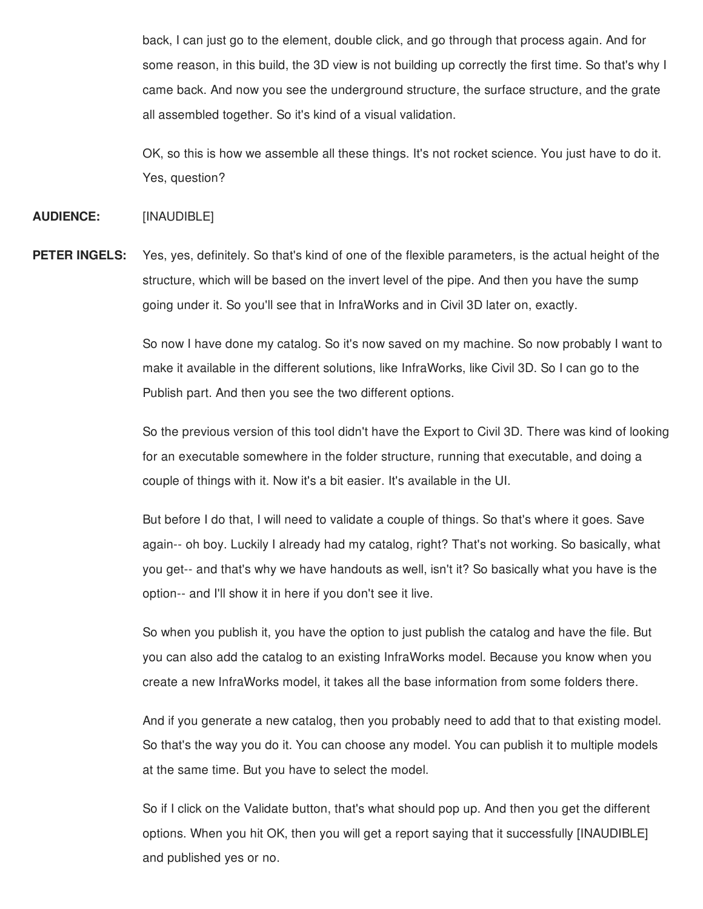back, I can just go to the element, double click, and go through that process again. And for some reason, in this build, the 3D view is not building up correctly the first time. So that's why I came back. And now you see the underground structure, the surface structure, and the grate all assembled together. So it's kind of a visual validation.

OK, so this is how we assemble all these things. It's not rocket science. You just have to do it. Yes, question?

**AUDIENCE:** [INAUDIBLE]

**PETER INGELS:** Yes, yes, definitely. So that's kind of one of the flexible parameters, is the actual height of the structure, which will be based on the invert level of the pipe. And then you have the sump going under it. So you'll see that in InfraWorks and in Civil 3D later on, exactly.

> So now I have done my catalog. So it's now saved on my machine. So now probably I want to make it available in the different solutions, like InfraWorks, like Civil 3D. So I can go to the Publish part. And then you see the two different options.

So the previous version of this tool didn't have the Export to Civil 3D. There was kind of looking for an executable somewhere in the folder structure, running that executable, and doing a couple of things with it. Now it's a bit easier. It's available in the UI.

But before I do that, I will need to validate a couple of things. So that's where it goes. Save again-- oh boy. Luckily I already had my catalog, right? That's not working. So basically, what you get-- and that's why we have handouts as well, isn't it? So basically what you have is the option-- and I'll show it in here if you don't see it live.

So when you publish it, you have the option to just publish the catalog and have the file. But you can also add the catalog to an existing InfraWorks model. Because you know when you create a new InfraWorks model, it takes all the base information from some folders there.

And if you generate a new catalog, then you probably need to add that to that existing model. So that's the way you do it. You can choose any model. You can publish it to multiple models at the same time. But you have to select the model.

So if I click on the Validate button, that's what should pop up. And then you get the different options. When you hit OK, then you will get a report saying that it successfully [INAUDIBLE] and published yes or no.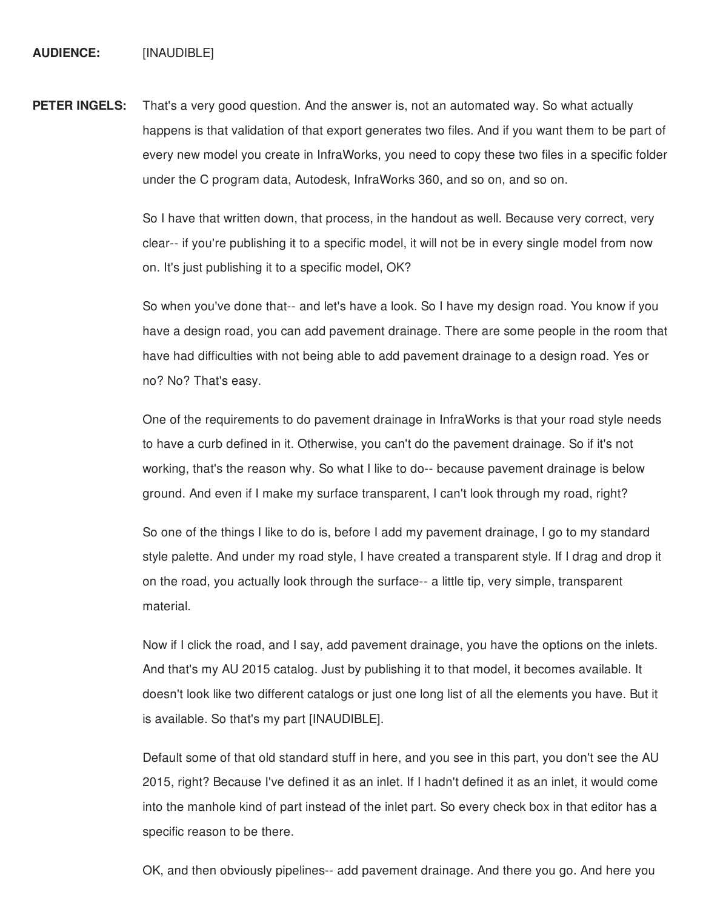**PETER INGELS:** That's a very good question. And the answer is, not an automated way. So what actually happens is that validation of that export generates two files. And if you want them to be part of every new model you create in InfraWorks, you need to copy these two files in a specific folder under the C program data, Autodesk, InfraWorks 360, and so on, and so on.

> So I have that written down, that process, in the handout as well. Because very correct, very clear-- if you're publishing it to a specific model, it will not be in every single model from now on. It's just publishing it to a specific model, OK?

So when you've done that-- and let's have a look. So I have my design road. You know if you have a design road, you can add pavement drainage. There are some people in the room that have had difficulties with not being able to add pavement drainage to a design road. Yes or no? No? That's easy.

One of the requirements to do pavement drainage in InfraWorks is that your road style needs to have a curb defined in it. Otherwise, you can't do the pavement drainage. So if it's not working, that's the reason why. So what I like to do-- because pavement drainage is below ground. And even if I make my surface transparent, I can't look through my road, right?

So one of the things I like to do is, before I add my pavement drainage, I go to my standard style palette. And under my road style, I have created a transparent style. If I drag and drop it on the road, you actually look through the surface-- a little tip, very simple, transparent material.

Now if I click the road, and I say, add pavement drainage, you have the options on the inlets. And that's my AU 2015 catalog. Just by publishing it to that model, it becomes available. It doesn't look like two different catalogs or just one long list of all the elements you have. But it is available. So that's my part [INAUDIBLE].

Default some of that old standard stuff in here, and you see in this part, you don't see the AU 2015, right? Because I've defined it as an inlet. If I hadn't defined it as an inlet, it would come into the manhole kind of part instead of the inlet part. So every check box in that editor has a specific reason to be there.

OK, and then obviously pipelines-- add pavement drainage. And there you go. And here you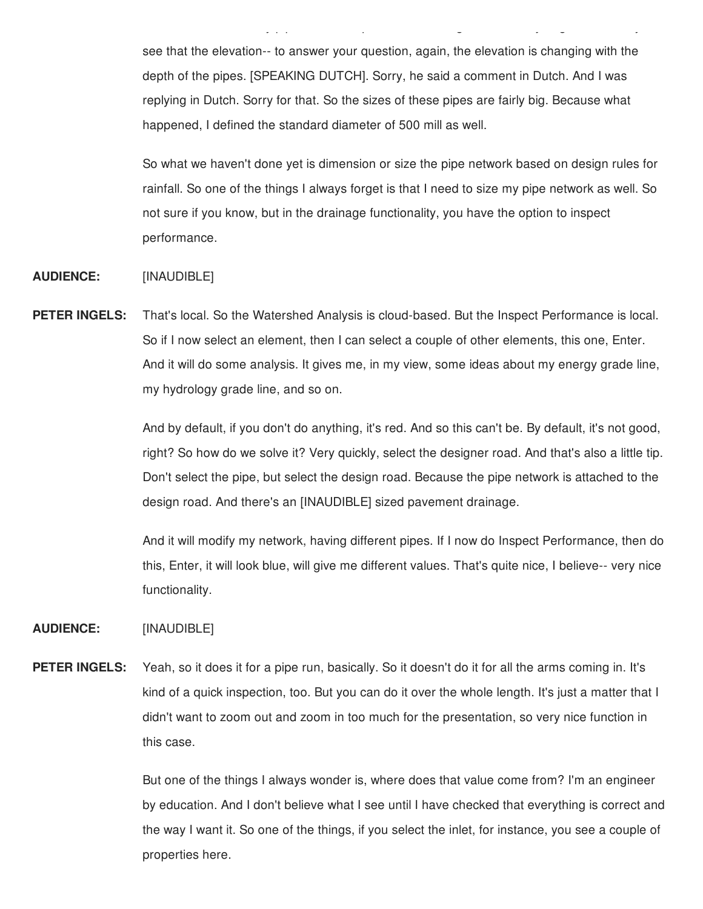see that the elevation-- to answer your question, again, the elevation is changing with the depth of the pipes. [SPEAKING DUTCH]. Sorry, he said a comment in Dutch. And I was replying in Dutch. Sorry for that. So the sizes of these pipes are fairly big. Because what happened, I defined the standard diameter of 500 mill as well.

OK, and then obviously pipelines-- add pavement drainage. And there you go. And here you

So what we haven't done yet is dimension or size the pipe network based on design rules for rainfall. So one of the things I always forget is that I need to size my pipe network as well. So not sure if you know, but in the drainage functionality, you have the option to inspect performance.

#### **AUDIENCE:** [INAUDIBLE]

**PETER INGELS:** That's local. So the Watershed Analysis is cloud-based. But the Inspect Performance is local. So if I now select an element, then I can select a couple of other elements, this one, Enter. And it will do some analysis. It gives me, in my view, some ideas about my energy grade line, my hydrology grade line, and so on.

> And by default, if you don't do anything, it's red. And so this can't be. By default, it's not good, right? So how do we solve it? Very quickly, select the designer road. And that's also a little tip. Don't select the pipe, but select the design road. Because the pipe network is attached to the design road. And there's an [INAUDIBLE] sized pavement drainage.

> And it will modify my network, having different pipes. If I now do Inspect Performance, then do this, Enter, it will look blue, will give me different values. That's quite nice, I believe-- very nice functionality.

#### **AUDIENCE:** [INAUDIBLE]

**PETER INGELS:** Yeah, so it does it for a pipe run, basically. So it doesn't do it for all the arms coming in. It's kind of a quick inspection, too. But you can do it over the whole length. It's just a matter that I didn't want to zoom out and zoom in too much for the presentation, so very nice function in this case.

> But one of the things I always wonder is, where does that value come from? I'm an engineer by education. And I don't believe what I see until I have checked that everything is correct and the way I want it. So one of the things, if you select the inlet, for instance, you see a couple of properties here.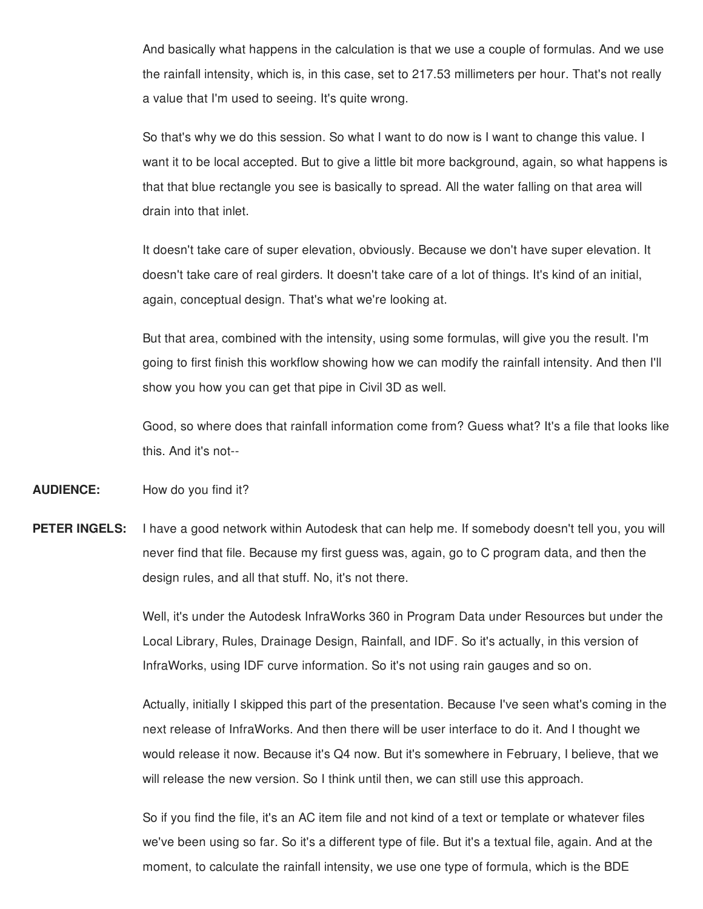And basically what happens in the calculation is that we use a couple of formulas. And we use the rainfall intensity, which is, in this case, set to 217.53 millimeters per hour. That's not really a value that I'm used to seeing. It's quite wrong.

So that's why we do this session. So what I want to do now is I want to change this value. I want it to be local accepted. But to give a little bit more background, again, so what happens is that that blue rectangle you see is basically to spread. All the water falling on that area will drain into that inlet.

It doesn't take care of super elevation, obviously. Because we don't have super elevation. It doesn't take care of real girders. It doesn't take care of a lot of things. It's kind of an initial, again, conceptual design. That's what we're looking at.

But that area, combined with the intensity, using some formulas, will give you the result. I'm going to first finish this workflow showing how we can modify the rainfall intensity. And then I'll show you how you can get that pipe in Civil 3D as well.

Good, so where does that rainfall information come from? Guess what? It's a file that looks like this. And it's not--

**AUDIENCE:** How do you find it?

**PETER INGELS:** I have a good network within Autodesk that can help me. If somebody doesn't tell you, you will never find that file. Because my first guess was, again, go to C program data, and then the design rules, and all that stuff. No, it's not there.

> Well, it's under the Autodesk InfraWorks 360 in Program Data under Resources but under the Local Library, Rules, Drainage Design, Rainfall, and IDF. So it's actually, in this version of InfraWorks, using IDF curve information. So it's not using rain gauges and so on.

> Actually, initially I skipped this part of the presentation. Because I've seen what's coming in the next release of InfraWorks. And then there will be user interface to do it. And I thought we would release it now. Because it's Q4 now. But it's somewhere in February, I believe, that we will release the new version. So I think until then, we can still use this approach.

So if you find the file, it's an AC item file and not kind of a text or template or whatever files we've been using so far. So it's a different type of file. But it's a textual file, again. And at the moment, to calculate the rainfall intensity, we use one type of formula, which is the BDE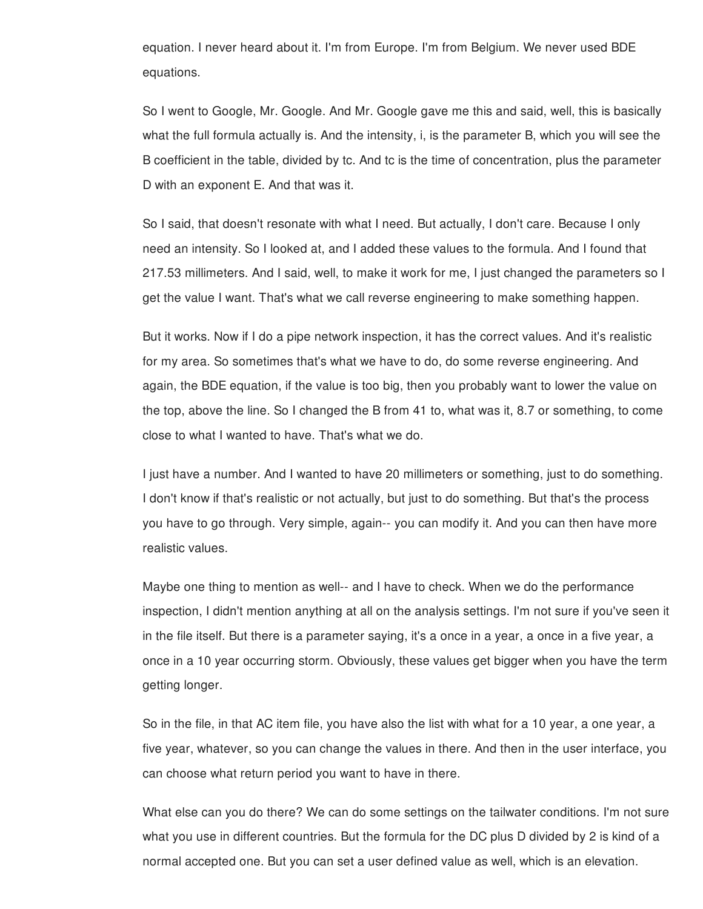equation. I never heard about it. I'm from Europe. I'm from Belgium. We never used BDE equations.

So I went to Google, Mr. Google. And Mr. Google gave me this and said, well, this is basically what the full formula actually is. And the intensity, i, is the parameter B, which you will see the B coefficient in the table, divided by tc. And tc is the time of concentration, plus the parameter D with an exponent E. And that was it.

So I said, that doesn't resonate with what I need. But actually, I don't care. Because I only need an intensity. So I looked at, and I added these values to the formula. And I found that 217.53 millimeters. And I said, well, to make it work for me, I just changed the parameters so I get the value I want. That's what we call reverse engineering to make something happen.

But it works. Now if I do a pipe network inspection, it has the correct values. And it's realistic for my area. So sometimes that's what we have to do, do some reverse engineering. And again, the BDE equation, if the value is too big, then you probably want to lower the value on the top, above the line. So I changed the B from 41 to, what was it, 8.7 or something, to come close to what I wanted to have. That's what we do.

I just have a number. And I wanted to have 20 millimeters or something, just to do something. I don't know if that's realistic or not actually, but just to do something. But that's the process you have to go through. Very simple, again-- you can modify it. And you can then have more realistic values.

Maybe one thing to mention as well-- and I have to check. When we do the performance inspection, I didn't mention anything at all on the analysis settings. I'm not sure if you've seen it in the file itself. But there is a parameter saying, it's a once in a year, a once in a five year, a once in a 10 year occurring storm. Obviously, these values get bigger when you have the term getting longer.

So in the file, in that AC item file, you have also the list with what for a 10 year, a one year, a five year, whatever, so you can change the values in there. And then in the user interface, you can choose what return period you want to have in there.

What else can you do there? We can do some settings on the tailwater conditions. I'm not sure what you use in different countries. But the formula for the DC plus D divided by 2 is kind of a normal accepted one. But you can set a user defined value as well, which is an elevation.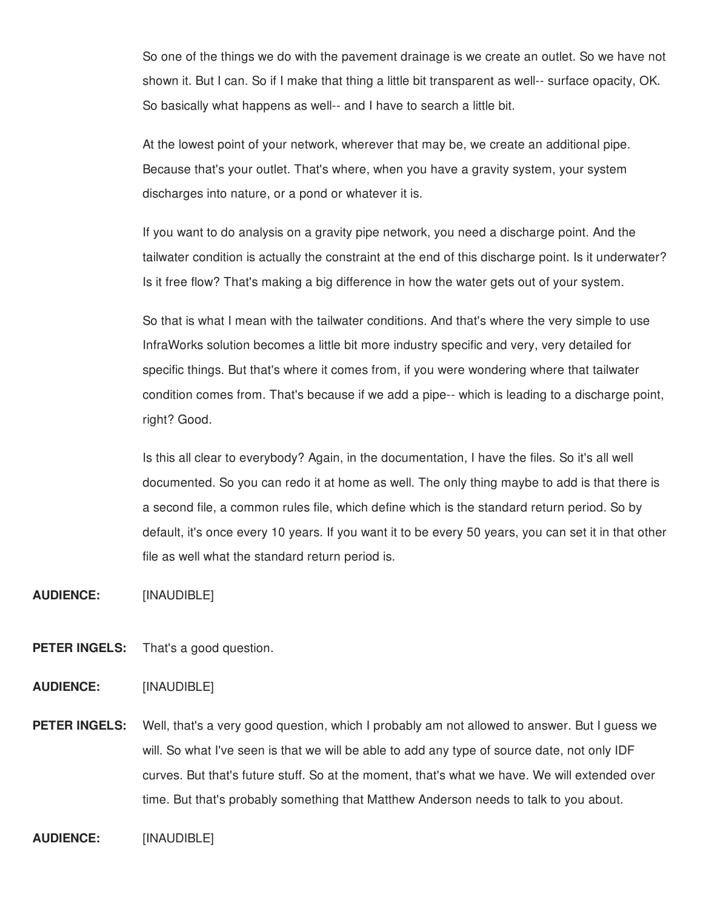So one of the things we do with the pavement drainage is we create an outlet. So we have not shown it. But I can. So if I make that thing a little bit transparent as well-- surface opacity, OK. So basically what happens as well-- and I have to search a little bit.

At the lowest point of your network, wherever that may be, we create an additional pipe. Because that's your outlet. That's where, when you have a gravity system, your system discharges into nature, or a pond or whatever it is.

If you want to do analysis on a gravity pipe network, you need a discharge point. And the tailwater condition is actually the constraint at the end of this discharge point. Is it underwater? Is it free flow? That's making a big difference in how the water gets out of your system.

So that is what I mean with the tailwater conditions. And that's where the very simple to use InfraWorks solution becomes a little bit more industry specific and very, very detailed for specific things. But that's where it comes from, if you were wondering where that tailwater condition comes from. That's because if we add a pipe-- which is leading to a discharge point, right? Good.

Is this all clear to everybody? Again, in the documentation, I have the files. So it's all well documented. So you can redo it at home as well. The only thing maybe to add is that there is a second file, a common rules file, which define which is the standard return period. So by default, it's once every 10 years. If you want it to be every 50 years, you can set it in that other file as well what the standard return period is.

**AUDIENCE:** [INAUDIBLE]

**PETER INGELS:** That's a good question.

**AUDIENCE:** [INAUDIBLE]

**PETER INGELS:** Well, that's a very good question, which I probably am not allowed to answer. But I guess we will. So what I've seen is that we will be able to add any type of source date, not only IDF curves. But that's future stuff. So at the moment, that's what we have. We will extended over time. But that's probably something that Matthew Anderson needs to talk to you about.

**AUDIENCE:** [INAUDIBLE]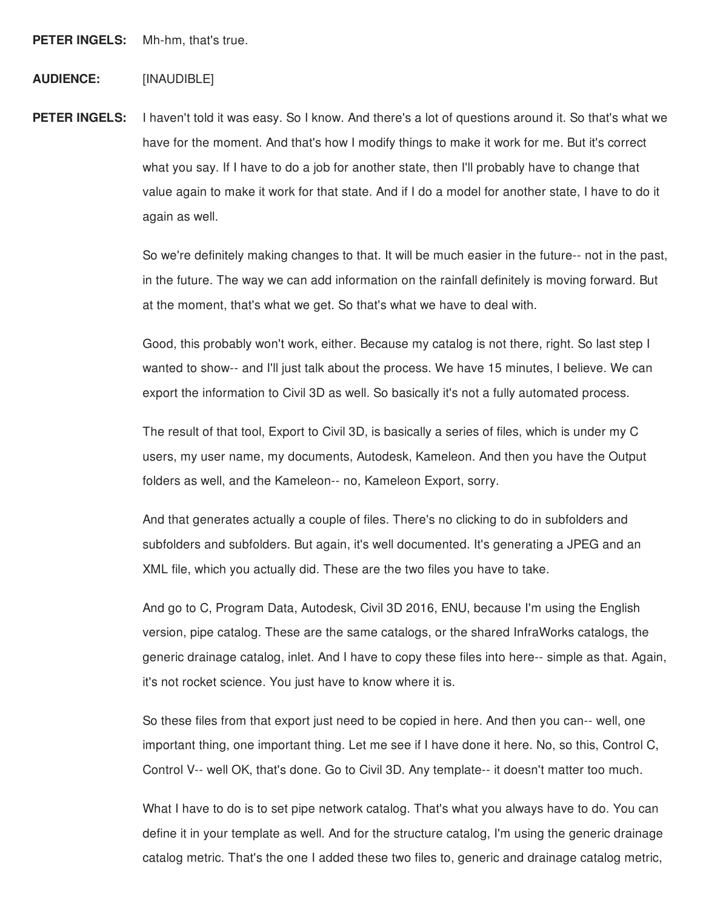**PETER INGELS:** Mh-hm, that's true.

## **AUDIENCE:** [INAUDIBLE]

**PETER INGELS:** I haven't told it was easy. So I know. And there's a lot of questions around it. So that's what we have for the moment. And that's how I modify things to make it work for me. But it's correct what you say. If I have to do a job for another state, then I'll probably have to change that value again to make it work for that state. And if I do a model for another state, I have to do it again as well.

> So we're definitely making changes to that. It will be much easier in the future-- not in the past, in the future. The way we can add information on the rainfall definitely is moving forward. But at the moment, that's what we get. So that's what we have to deal with.

Good, this probably won't work, either. Because my catalog is not there, right. So last step I wanted to show-- and I'll just talk about the process. We have 15 minutes, I believe. We can export the information to Civil 3D as well. So basically it's not a fully automated process.

The result of that tool, Export to Civil 3D, is basically a series of files, which is under my C users, my user name, my documents, Autodesk, Kameleon. And then you have the Output folders as well, and the Kameleon-- no, Kameleon Export, sorry.

And that generates actually a couple of files. There's no clicking to do in subfolders and subfolders and subfolders. But again, it's well documented. It's generating a JPEG and an XML file, which you actually did. These are the two files you have to take.

And go to C, Program Data, Autodesk, Civil 3D 2016, ENU, because I'm using the English version, pipe catalog. These are the same catalogs, or the shared InfraWorks catalogs, the generic drainage catalog, inlet. And I have to copy these files into here-- simple as that. Again, it's not rocket science. You just have to know where it is.

So these files from that export just need to be copied in here. And then you can-- well, one important thing, one important thing. Let me see if I have done it here. No, so this, Control C, Control V-- well OK, that's done. Go to Civil 3D. Any template-- it doesn't matter too much.

What I have to do is to set pipe network catalog. That's what you always have to do. You can define it in your template as well. And for the structure catalog, I'm using the generic drainage catalog metric. That's the one I added these two files to, generic and drainage catalog metric,